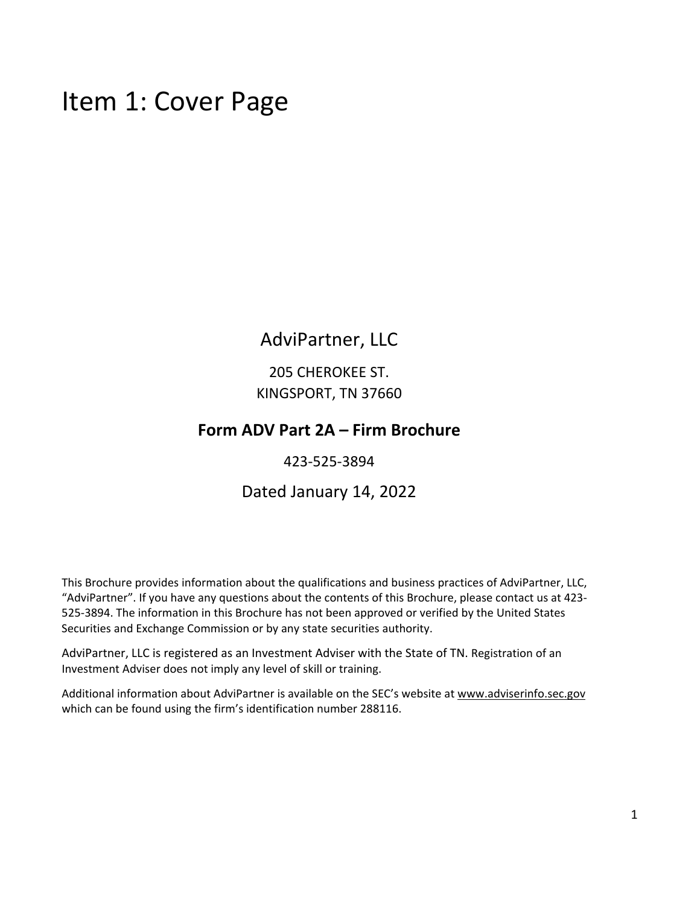### Item 1: Cover Page

### AdviPartner, LLC

205 CHEROKEE ST. KINGSPORT, TN 37660

#### **Form ADV Part 2A – Firm Brochure**

423‐525‐3894

#### Dated January 14, 2022

This Brochure provides information about the qualifications and business practices of AdviPartner, LLC, "AdviPartner". If you have any questions about the contents of this Brochure, please contact us at 423‐ 525‐3894. The information in this Brochure has not been approved or verified by the United States Securities and Exchange Commission or by any state securities authority.

AdviPartner, LLC is registered as an Investment Adviser with the State of TN. Registration of an Investment Adviser does not imply any level of skill or training.

Additional information about AdviPartner is available on the SEC's website at www.adviserinfo.sec.gov which can be found using the firm's identification number 288116.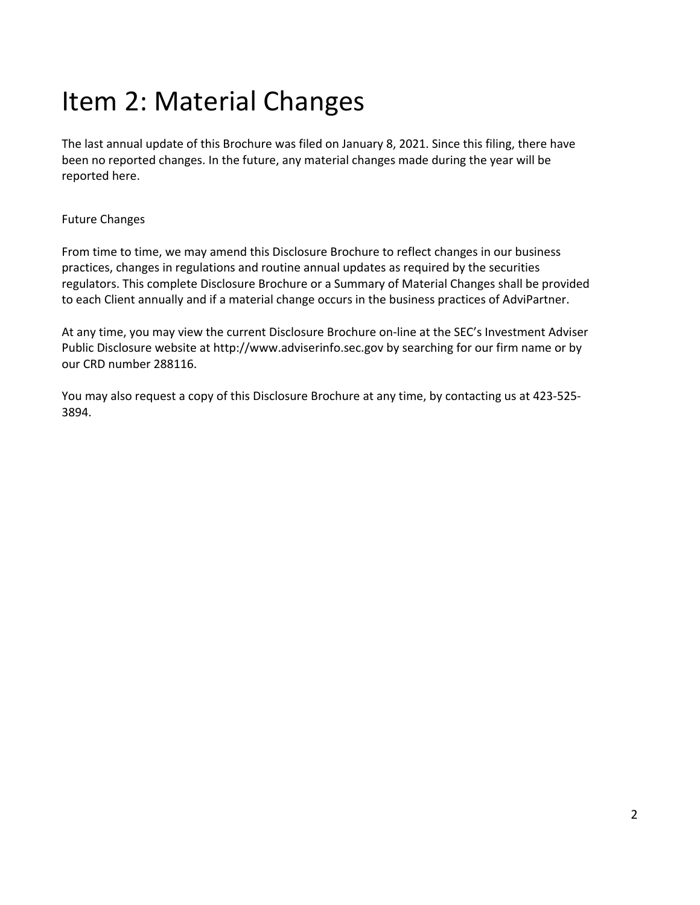## Item 2: Material Changes

The last annual update of this Brochure was filed on January 8, 2021. Since this filing, there have been no reported changes. In the future, any material changes made during the year will be reported here.

#### Future Changes

From time to time, we may amend this Disclosure Brochure to reflect changes in our business practices, changes in regulations and routine annual updates as required by the securities regulators. This complete Disclosure Brochure or a Summary of Material Changes shall be provided to each Client annually and if a material change occurs in the business practices of AdviPartner.

At any time, you may view the current Disclosure Brochure on‐line at the SEC's Investment Adviser Public Disclosure website at http://www.adviserinfo.sec.gov by searching for our firm name or by our CRD number 288116.

You may also request a copy of this Disclosure Brochure at any time, by contacting us at 423‐525‐ 3894.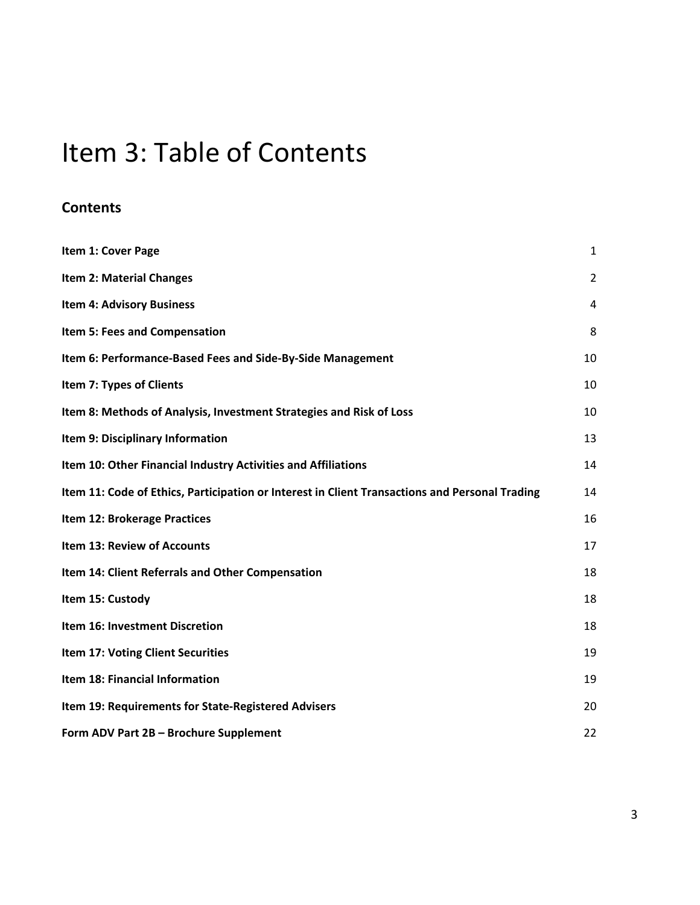## Item 3: Table of Contents

#### **Contents**

| Item 1: Cover Page                                                                             | 1              |
|------------------------------------------------------------------------------------------------|----------------|
| <b>Item 2: Material Changes</b>                                                                | $\overline{2}$ |
| <b>Item 4: Advisory Business</b>                                                               | 4              |
| Item 5: Fees and Compensation                                                                  | 8              |
| Item 6: Performance-Based Fees and Side-By-Side Management                                     | 10             |
| Item 7: Types of Clients                                                                       | 10             |
| Item 8: Methods of Analysis, Investment Strategies and Risk of Loss                            | 10             |
| Item 9: Disciplinary Information                                                               | 13             |
| Item 10: Other Financial Industry Activities and Affiliations                                  | 14             |
| Item 11: Code of Ethics, Participation or Interest in Client Transactions and Personal Trading | 14             |
| Item 12: Brokerage Practices                                                                   | 16             |
| <b>Item 13: Review of Accounts</b>                                                             | 17             |
| Item 14: Client Referrals and Other Compensation                                               | 18             |
| Item 15: Custody                                                                               | 18             |
| Item 16: Investment Discretion                                                                 | 18             |
| Item 17: Voting Client Securities                                                              | 19             |
| Item 18: Financial Information                                                                 | 19             |
| Item 19: Requirements for State-Registered Advisers                                            | 20             |
| Form ADV Part 2B - Brochure Supplement                                                         | 22             |

3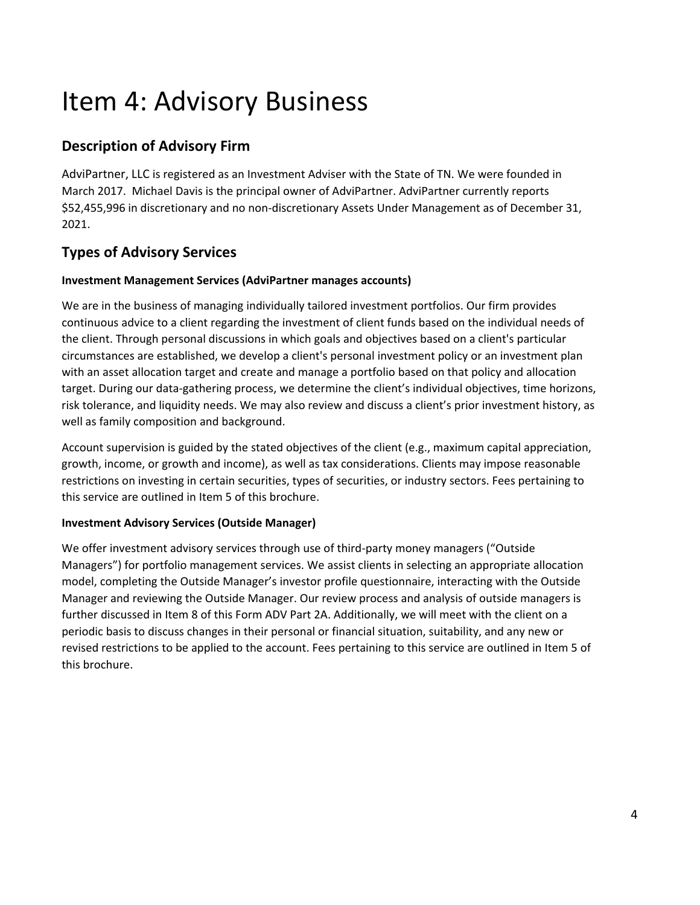## Item 4: Advisory Business

### **Description of Advisory Firm**

AdviPartner, LLC is registered as an Investment Adviser with the State of TN. We were founded in March 2017. Michael Davis is the principal owner of AdviPartner. AdviPartner currently reports \$52,455,996 in discretionary and no non‐discretionary Assets Under Management as of December 31, 2021.

#### **Types of Advisory Services**

#### **Investment Management Services (AdviPartner manages accounts)**

We are in the business of managing individually tailored investment portfolios. Our firm provides continuous advice to a client regarding the investment of client funds based on the individual needs of the client. Through personal discussions in which goals and objectives based on a client's particular circumstances are established, we develop a client's personal investment policy or an investment plan with an asset allocation target and create and manage a portfolio based on that policy and allocation target. During our data‐gathering process, we determine the client's individual objectives, time horizons, risk tolerance, and liquidity needs. We may also review and discuss a client's prior investment history, as well as family composition and background.

Account supervision is guided by the stated objectives of the client (e.g., maximum capital appreciation, growth, income, or growth and income), as well as tax considerations. Clients may impose reasonable restrictions on investing in certain securities, types of securities, or industry sectors. Fees pertaining to this service are outlined in Item 5 of this brochure.

#### **Investment Advisory Services (Outside Manager)**

We offer investment advisory services through use of third-party money managers ("Outside Managers") for portfolio management services. We assist clients in selecting an appropriate allocation model, completing the Outside Manager's investor profile questionnaire, interacting with the Outside Manager and reviewing the Outside Manager. Our review process and analysis of outside managers is further discussed in Item 8 of this Form ADV Part 2A. Additionally, we will meet with the client on a periodic basis to discuss changes in their personal or financial situation, suitability, and any new or revised restrictions to be applied to the account. Fees pertaining to this service are outlined in Item 5 of this brochure.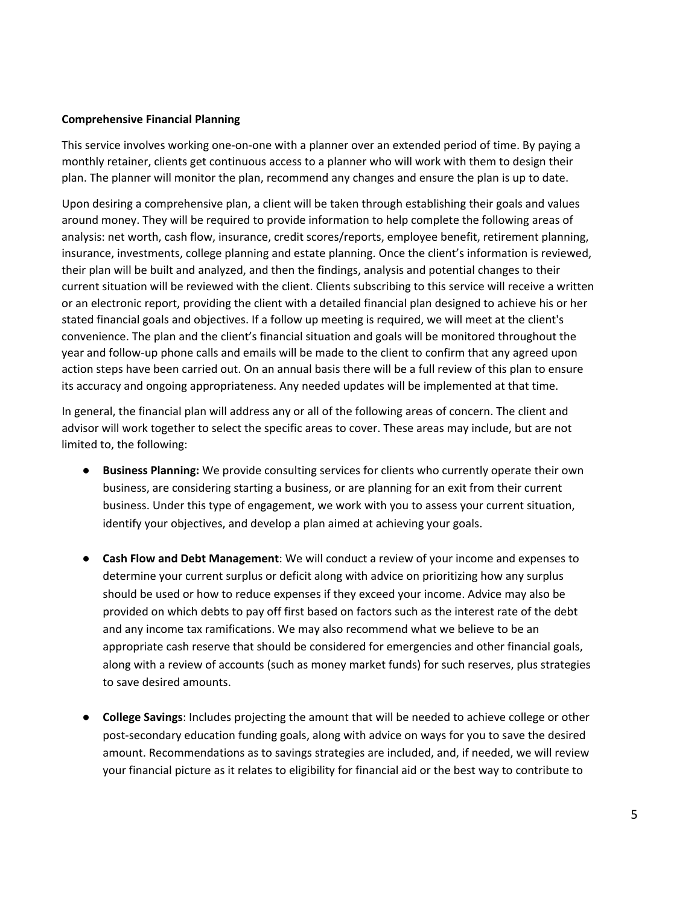#### **Comprehensive Financial Planning**

This service involves working one‐on‐one with a planner over an extended period of time. By paying a monthly retainer, clients get continuous access to a planner who will work with them to design their plan. The planner will monitor the plan, recommend any changes and ensure the plan is up to date.

Upon desiring a comprehensive plan, a client will be taken through establishing their goals and values around money. They will be required to provide information to help complete the following areas of analysis: net worth, cash flow, insurance, credit scores/reports, employee benefit, retirement planning, insurance, investments, college planning and estate planning. Once the client's information is reviewed, their plan will be built and analyzed, and then the findings, analysis and potential changes to their current situation will be reviewed with the client. Clients subscribing to this service will receive a written or an electronic report, providing the client with a detailed financial plan designed to achieve his or her stated financial goals and objectives. If a follow up meeting is required, we will meet at the client's convenience. The plan and the client's financial situation and goals will be monitored throughout the year and follow‐up phone calls and emails will be made to the client to confirm that any agreed upon action steps have been carried out. On an annual basis there will be a full review of this plan to ensure its accuracy and ongoing appropriateness. Any needed updates will be implemented at that time.

In general, the financial plan will address any or all of the following areas of concern. The client and advisor will work together to select the specific areas to cover. These areas may include, but are not limited to, the following:

- **Business Planning:** We provide consulting services for clients who currently operate their own business, are considering starting a business, or are planning for an exit from their current business. Under this type of engagement, we work with you to assess your current situation, identify your objectives, and develop a plan aimed at achieving your goals.
- **Cash Flow and Debt Management**: We will conduct a review of your income and expenses to determine your current surplus or deficit along with advice on prioritizing how any surplus should be used or how to reduce expenses if they exceed your income. Advice may also be provided on which debts to pay off first based on factors such as the interest rate of the debt and any income tax ramifications. We may also recommend what we believe to be an appropriate cash reserve that should be considered for emergencies and other financial goals, along with a review of accounts (such as money market funds) for such reserves, plus strategies to save desired amounts.
- **College Savings**: Includes projecting the amount that will be needed to achieve college or other post‐secondary education funding goals, along with advice on ways for you to save the desired amount. Recommendations as to savings strategies are included, and, if needed, we will review your financial picture as it relates to eligibility for financial aid or the best way to contribute to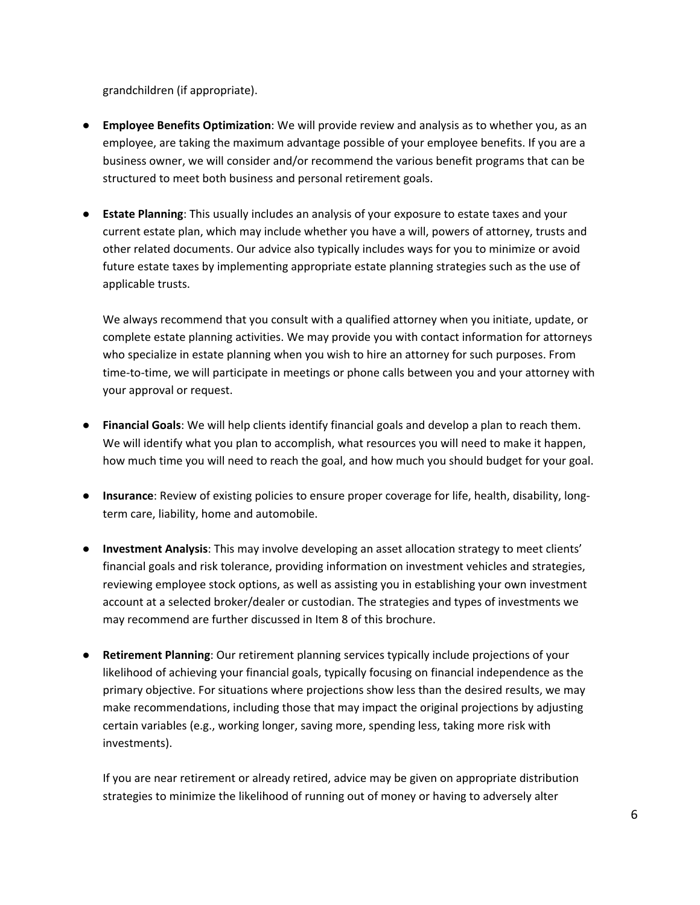grandchildren (if appropriate).

- **Employee Benefits Optimization**: We will provide review and analysis as to whether you, as an employee, are taking the maximum advantage possible of your employee benefits. If you are a business owner, we will consider and/or recommend the various benefit programs that can be structured to meet both business and personal retirement goals.
- **Estate Planning**: This usually includes an analysis of your exposure to estate taxes and your current estate plan, which may include whether you have a will, powers of attorney, trusts and other related documents. Our advice also typically includes ways for you to minimize or avoid future estate taxes by implementing appropriate estate planning strategies such as the use of applicable trusts.

We always recommend that you consult with a qualified attorney when you initiate, update, or complete estate planning activities. We may provide you with contact information for attorneys who specialize in estate planning when you wish to hire an attorney for such purposes. From time-to-time, we will participate in meetings or phone calls between you and your attorney with your approval or request.

- **Financial Goals**: We will help clients identify financial goals and develop a plan to reach them. We will identify what you plan to accomplish, what resources you will need to make it happen, how much time you will need to reach the goal, and how much you should budget for your goal.
- **Insurance**: Review of existing policies to ensure proper coverage for life, health, disability, longterm care, liability, home and automobile.
- **Investment Analysis**: This may involve developing an asset allocation strategy to meet clients' financial goals and risk tolerance, providing information on investment vehicles and strategies, reviewing employee stock options, as well as assisting you in establishing your own investment account at a selected broker/dealer or custodian. The strategies and types of investments we may recommend are further discussed in Item 8 of this brochure.
- **Retirement Planning**: Our retirement planning services typically include projections of your likelihood of achieving your financial goals, typically focusing on financial independence as the primary objective. For situations where projections show less than the desired results, we may make recommendations, including those that may impact the original projections by adjusting certain variables (e.g., working longer, saving more, spending less, taking more risk with investments).

If you are near retirement or already retired, advice may be given on appropriate distribution strategies to minimize the likelihood of running out of money or having to adversely alter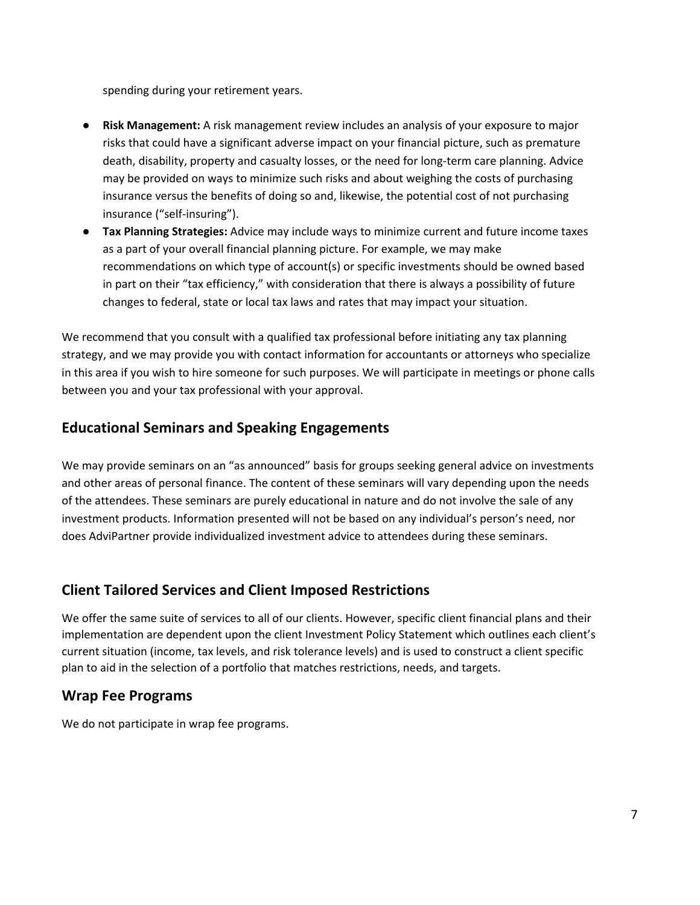spending during your retirement years.

- **Risk Management:** A risk management review includes an analysis of your exposure to major risks that could have a significant adverse impact on your financial picture, such as premature death, disability, property and casualty losses, or the need for long‐term care planning. Advice may be provided on ways to minimize such risks and about weighing the costs of purchasing insurance versus the benefits of doing so and, likewise, the potential cost of not purchasing insurance ("self‐insuring").
- **Tax Planning Strategies:** Advice may include ways to minimize current and future income taxes as a part of your overall financial planning picture. For example, we may make recommendations on which type of account(s) or specific investments should be owned based in part on their "tax efficiency," with consideration that there is always a possibility of future changes to federal, state or local tax laws and rates that may impact your situation.

We recommend that you consult with a qualified tax professional before initiating any tax planning strategy, and we may provide you with contact information for accountants or attorneys who specialize in this area if you wish to hire someone for such purposes. We will participate in meetings or phone calls between you and your tax professional with your approval.

#### **Educational Seminars and Speaking Engagements**

We may provide seminars on an "as announced" basis for groups seeking general advice on investments and other areas of personal finance. The content of these seminars will vary depending upon the needs of the attendees. These seminars are purely educational in nature and do not involve the sale of any investment products. Information presented will not be based on any individual's person's need, nor does AdviPartner provide individualized investment advice to attendees during these seminars.

#### **Client Tailored Services and Client Imposed Restrictions**

We offer the same suite of services to all of our clients. However, specific client financial plans and their implementation are dependent upon the client Investment Policy Statement which outlines each client's current situation (income, tax levels, and risk tolerance levels) and is used to construct a client specific plan to aid in the selection of a portfolio that matches restrictions, needs, and targets.

#### **Wrap Fee Programs**

We do not participate in wrap fee programs.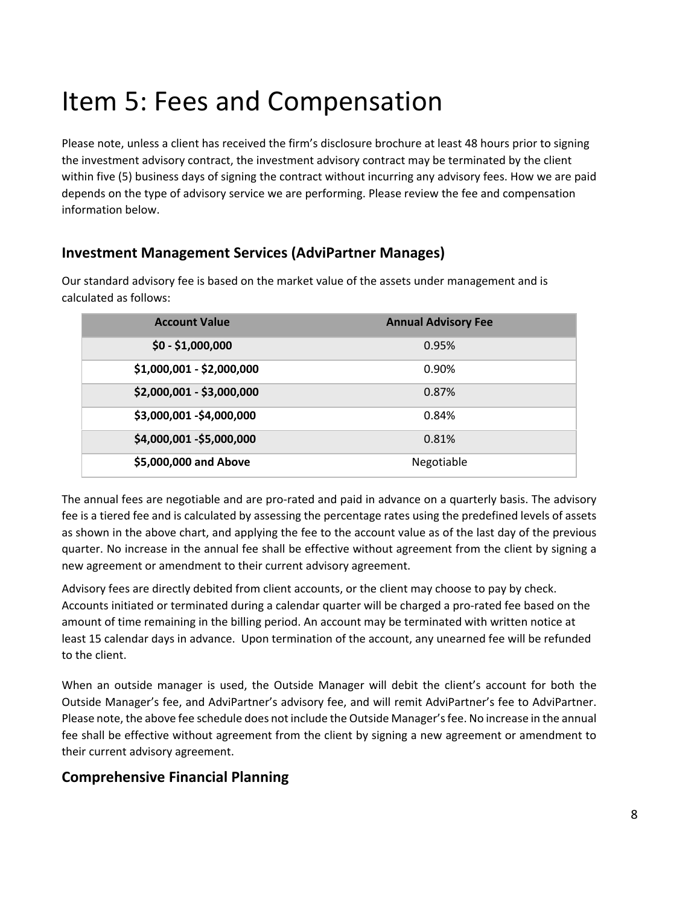## Item 5: Fees and Compensation

Please note, unless a client has received the firm's disclosure brochure at least 48 hours prior to signing the investment advisory contract, the investment advisory contract may be terminated by the client within five (5) business days of signing the contract without incurring any advisory fees. How we are paid depends on the type of advisory service we are performing. Please review the fee and compensation information below.

#### **Investment Management Services (AdviPartner Manages)**

Our standard advisory fee is based on the market value of the assets under management and is calculated as follows:

| <b>Account Value</b>      | <b>Annual Advisory Fee</b> |
|---------------------------|----------------------------|
| $$0 - $1,000,000$         | 0.95%                      |
| \$1,000,001 - \$2,000,000 | 0.90%                      |
| \$2,000,001 - \$3,000,000 | 0.87%                      |
| \$3,000,001 - \$4,000,000 | 0.84%                      |
| \$4,000,001 - \$5,000,000 | 0.81%                      |
| \$5,000,000 and Above     | Negotiable                 |

The annual fees are negotiable and are pro‐rated and paid in advance on a quarterly basis. The advisory fee is a tiered fee and is calculated by assessing the percentage rates using the predefined levels of assets as shown in the above chart, and applying the fee to the account value as of the last day of the previous quarter. No increase in the annual fee shall be effective without agreement from the client by signing a new agreement or amendment to their current advisory agreement.

Advisory fees are directly debited from client accounts, or the client may choose to pay by check. Accounts initiated or terminated during a calendar quarter will be charged a pro‐rated fee based on the amount of time remaining in the billing period. An account may be terminated with written notice at least 15 calendar days in advance. Upon termination of the account, any unearned fee will be refunded to the client.

When an outside manager is used, the Outside Manager will debit the client's account for both the Outside Manager's fee, and AdviPartner's advisory fee, and will remit AdviPartner's fee to AdviPartner. Please note, the above fee schedule does not include the Outside Manager's fee. No increase in the annual fee shall be effective without agreement from the client by signing a new agreement or amendment to their current advisory agreement.

#### **Comprehensive Financial Planning**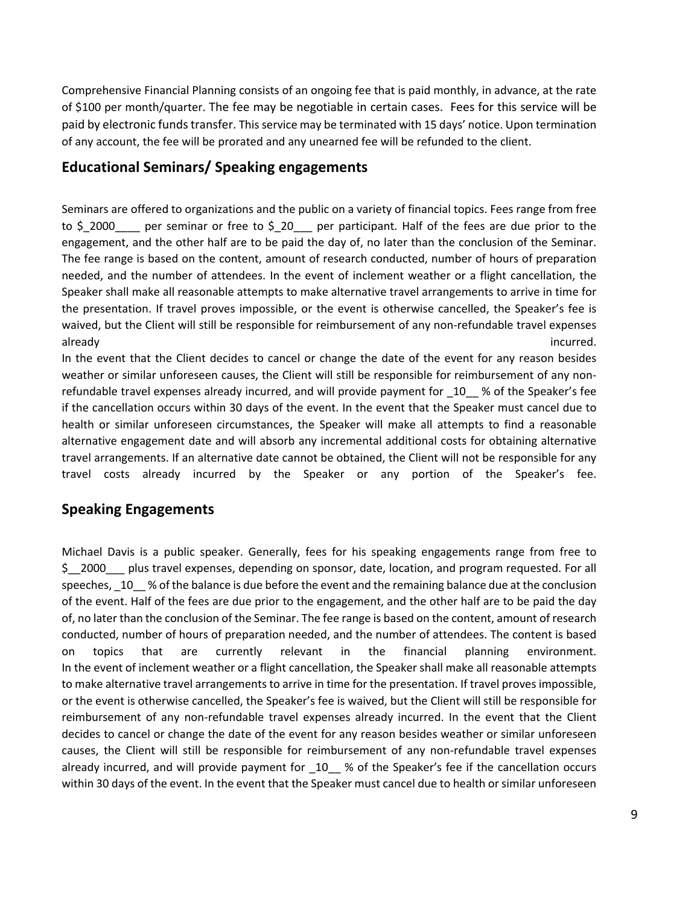Comprehensive Financial Planning consists of an ongoing fee that is paid monthly, in advance, at the rate of \$100 per month/quarter. The fee may be negotiable in certain cases. Fees for this service will be paid by electronic funds transfer. This service may be terminated with 15 days' notice. Upon termination of any account, the fee will be prorated and any unearned fee will be refunded to the client.

#### **Educational Seminars/ Speaking engagements**

Seminars are offered to organizations and the public on a variety of financial topics. Fees range from free to \$\_2000\_\_\_\_ per seminar or free to \$\_20\_\_\_ per participant. Half of the fees are due prior to the engagement, and the other half are to be paid the day of, no later than the conclusion of the Seminar. The fee range is based on the content, amount of research conducted, number of hours of preparation needed, and the number of attendees. In the event of inclement weather or a flight cancellation, the Speaker shall make all reasonable attempts to make alternative travel arrangements to arrive in time for the presentation. If travel proves impossible, or the event is otherwise cancelled, the Speaker's fee is waived, but the Client will still be responsible for reimbursement of any non-refundable travel expenses already incurred.

In the event that the Client decides to cancel or change the date of the event for any reason besides weather or similar unforeseen causes, the Client will still be responsible for reimbursement of any nonrefundable travel expenses already incurred, and will provide payment for  $10$  % of the Speaker's fee if the cancellation occurs within 30 days of the event. In the event that the Speaker must cancel due to health or similar unforeseen circumstances, the Speaker will make all attempts to find a reasonable alternative engagement date and will absorb any incremental additional costs for obtaining alternative travel arrangements. If an alternative date cannot be obtained, the Client will not be responsible for any travel costs already incurred by the Speaker or any portion of the Speaker's fee.

#### **Speaking Engagements**

Michael Davis is a public speaker. Generally, fees for his speaking engagements range from free to \$\_\_2000\_\_\_ plus travel expenses, depending on sponsor, date, location, and program requested. For all speeches, 10 % of the balance is due before the event and the remaining balance due at the conclusion of the event. Half of the fees are due prior to the engagement, and the other half are to be paid the day of, no later than the conclusion of the Seminar. The fee range is based on the content, amount of research conducted, number of hours of preparation needed, and the number of attendees. The content is based on topics that are currently relevant in the financial planning environment. In the event of inclement weather or a flight cancellation, the Speaker shall make all reasonable attempts to make alternative travel arrangements to arrive in time for the presentation. If travel proves impossible, or the event is otherwise cancelled, the Speaker's fee is waived, but the Client will still be responsible for reimbursement of any non-refundable travel expenses already incurred. In the event that the Client decides to cancel or change the date of the event for any reason besides weather or similar unforeseen causes, the Client will still be responsible for reimbursement of any non‐refundable travel expenses already incurred, and will provide payment for 10\_ % of the Speaker's fee if the cancellation occurs within 30 days of the event. In the event that the Speaker must cancel due to health or similar unforeseen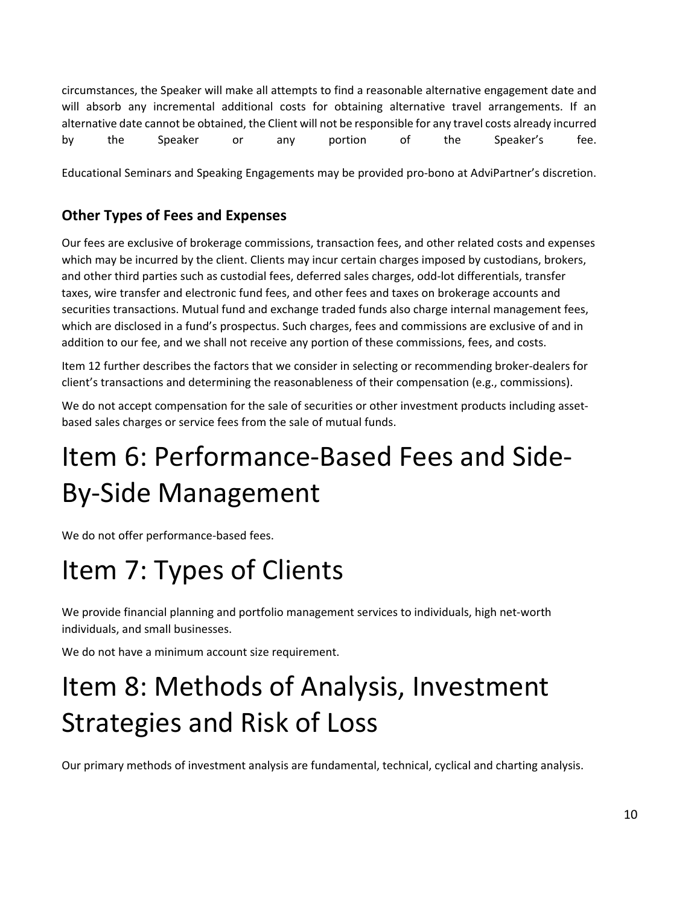circumstances, the Speaker will make all attempts to find a reasonable alternative engagement date and will absorb any incremental additional costs for obtaining alternative travel arrangements. If an alternative date cannot be obtained, the Client will not be responsible for any travel costs already incurred by the Speaker or any portion of the Speaker's fee.

Educational Seminars and Speaking Engagements may be provided pro‐bono at AdviPartner's discretion.

#### **Other Types of Fees and Expenses**

Our fees are exclusive of brokerage commissions, transaction fees, and other related costs and expenses which may be incurred by the client. Clients may incur certain charges imposed by custodians, brokers, and other third parties such as custodial fees, deferred sales charges, odd‐lot differentials, transfer taxes, wire transfer and electronic fund fees, and other fees and taxes on brokerage accounts and securities transactions. Mutual fund and exchange traded funds also charge internal management fees, which are disclosed in a fund's prospectus. Such charges, fees and commissions are exclusive of and in addition to our fee, and we shall not receive any portion of these commissions, fees, and costs.

Item 12 further describes the factors that we consider in selecting or recommending broker-dealers for client's transactions and determining the reasonableness of their compensation (e.g., commissions).

We do not accept compensation for the sale of securities or other investment products including assetbased sales charges or service fees from the sale of mutual funds.

## Item 6: Performance‐Based Fees and Side‐ By‐Side Management

We do not offer performance-based fees.

## Item 7: Types of Clients

We provide financial planning and portfolio management services to individuals, high net-worth individuals, and small businesses.

We do not have a minimum account size requirement.

# Item 8: Methods of Analysis, Investment Strategies and Risk of Loss

Our primary methods of investment analysis are fundamental, technical, cyclical and charting analysis.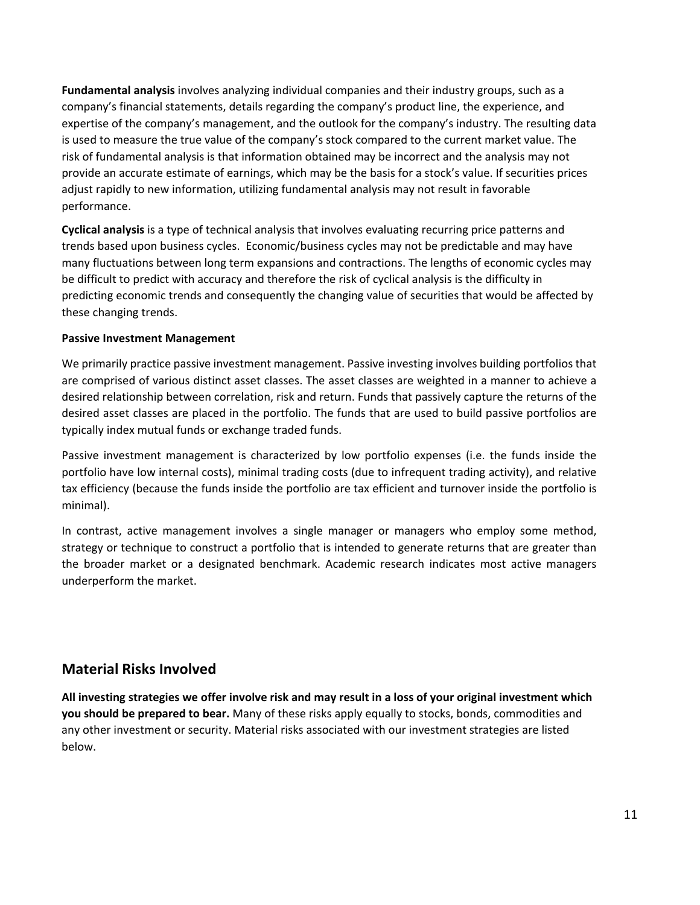**Fundamental analysis** involves analyzing individual companies and their industry groups, such as a company's financial statements, details regarding the company's product line, the experience, and expertise of the company's management, and the outlook for the company's industry. The resulting data is used to measure the true value of the company's stock compared to the current market value. The risk of fundamental analysis is that information obtained may be incorrect and the analysis may not provide an accurate estimate of earnings, which may be the basis for a stock's value. If securities prices adjust rapidly to new information, utilizing fundamental analysis may not result in favorable performance.

**Cyclical analysis** is a type of technical analysis that involves evaluating recurring price patterns and trends based upon business cycles. Economic/business cycles may not be predictable and may have many fluctuations between long term expansions and contractions. The lengths of economic cycles may be difficult to predict with accuracy and therefore the risk of cyclical analysis is the difficulty in predicting economic trends and consequently the changing value of securities that would be affected by these changing trends.

#### **Passive Investment Management**

We primarily practice passive investment management. Passive investing involves building portfolios that are comprised of various distinct asset classes. The asset classes are weighted in a manner to achieve a desired relationship between correlation, risk and return. Funds that passively capture the returns of the desired asset classes are placed in the portfolio. The funds that are used to build passive portfolios are typically index mutual funds or exchange traded funds.

Passive investment management is characterized by low portfolio expenses (i.e. the funds inside the portfolio have low internal costs), minimal trading costs (due to infrequent trading activity), and relative tax efficiency (because the funds inside the portfolio are tax efficient and turnover inside the portfolio is minimal).

In contrast, active management involves a single manager or managers who employ some method, strategy or technique to construct a portfolio that is intended to generate returns that are greater than the broader market or a designated benchmark. Academic research indicates most active managers underperform the market.

#### **Material Risks Involved**

All investing strategies we offer involve risk and may result in a loss of your original investment which **you should be prepared to bear.** Many of these risks apply equally to stocks, bonds, commodities and any other investment or security. Material risks associated with our investment strategies are listed below.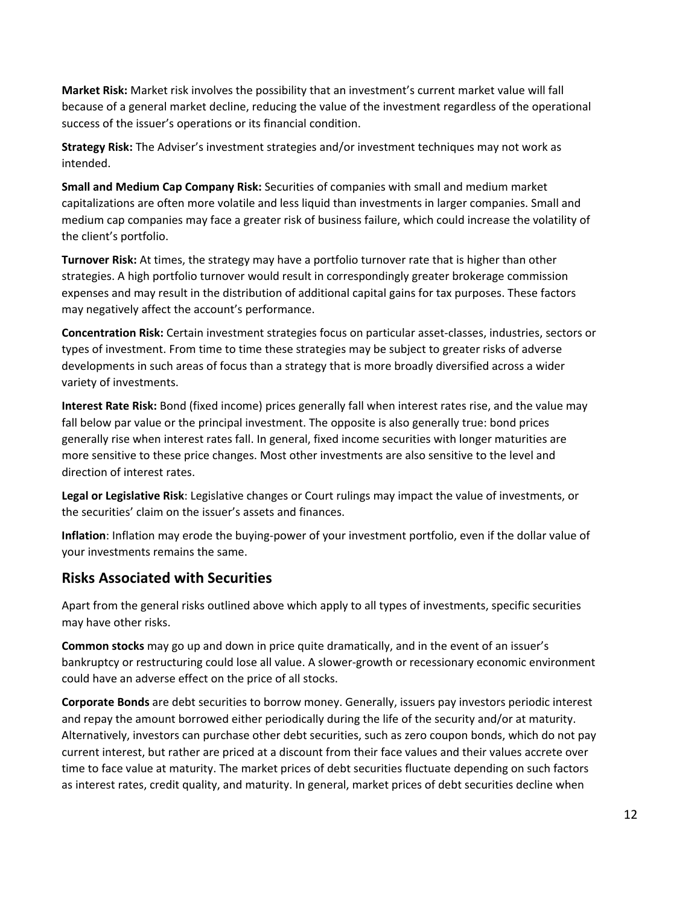**Market Risk:** Market risk involves the possibility that an investment's current market value will fall because of a general market decline, reducing the value of the investment regardless of the operational success of the issuer's operations or its financial condition.

**Strategy Risk:** The Adviser's investment strategies and/or investment techniques may not work as intended.

**Small and Medium Cap Company Risk:** Securities of companies with small and medium market capitalizations are often more volatile and less liquid than investments in larger companies. Small and medium cap companies may face a greater risk of business failure, which could increase the volatility of the client's portfolio.

**Turnover Risk:** At times, the strategy may have a portfolio turnover rate that is higher than other strategies. A high portfolio turnover would result in correspondingly greater brokerage commission expenses and may result in the distribution of additional capital gains for tax purposes. These factors may negatively affect the account's performance.

**Concentration Risk:** Certain investment strategies focus on particular asset‐classes, industries, sectors or types of investment. From time to time these strategies may be subject to greater risks of adverse developments in such areas of focus than a strategy that is more broadly diversified across a wider variety of investments.

**Interest Rate Risk:** Bond (fixed income) prices generally fall when interest rates rise, and the value may fall below par value or the principal investment. The opposite is also generally true: bond prices generally rise when interest rates fall. In general, fixed income securities with longer maturities are more sensitive to these price changes. Most other investments are also sensitive to the level and direction of interest rates.

**Legal or Legislative Risk**: Legislative changes or Court rulings may impact the value of investments, or the securities' claim on the issuer's assets and finances.

**Inflation**: Inflation may erode the buying‐power of your investment portfolio, even if the dollar value of your investments remains the same.

#### **Risks Associated with Securities**

Apart from the general risks outlined above which apply to all types of investments, specific securities may have other risks.

**Common stocks** may go up and down in price quite dramatically, and in the event of an issuer's bankruptcy or restructuring could lose all value. A slower‐growth or recessionary economic environment could have an adverse effect on the price of all stocks.

**Corporate Bonds** are debt securities to borrow money. Generally, issuers pay investors periodic interest and repay the amount borrowed either periodically during the life of the security and/or at maturity. Alternatively, investors can purchase other debt securities, such as zero coupon bonds, which do not pay current interest, but rather are priced at a discount from their face values and their values accrete over time to face value at maturity. The market prices of debt securities fluctuate depending on such factors as interest rates, credit quality, and maturity. In general, market prices of debt securities decline when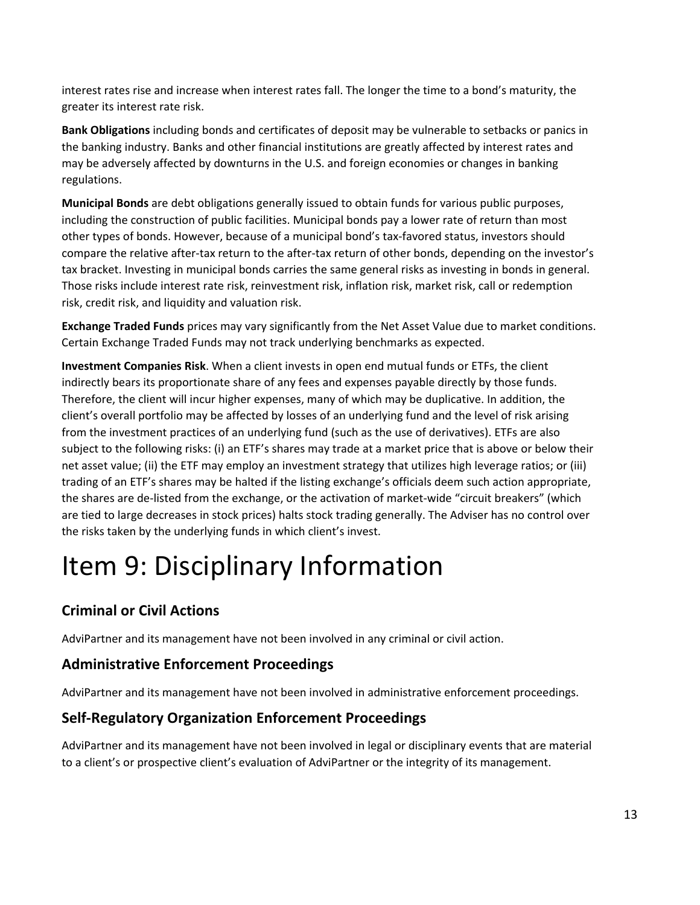interest rates rise and increase when interest rates fall. The longer the time to a bond's maturity, the greater its interest rate risk.

**Bank Obligations** including bonds and certificates of deposit may be vulnerable to setbacks or panics in the banking industry. Banks and other financial institutions are greatly affected by interest rates and may be adversely affected by downturns in the U.S. and foreign economies or changes in banking regulations.

**Municipal Bonds** are debt obligations generally issued to obtain funds for various public purposes, including the construction of public facilities. Municipal bonds pay a lower rate of return than most other types of bonds. However, because of a municipal bond's tax‐favored status, investors should compare the relative after‐tax return to the after‐tax return of other bonds, depending on the investor's tax bracket. Investing in municipal bonds carries the same general risks as investing in bonds in general. Those risks include interest rate risk, reinvestment risk, inflation risk, market risk, call or redemption risk, credit risk, and liquidity and valuation risk.

**Exchange Traded Funds** prices may vary significantly from the Net Asset Value due to market conditions. Certain Exchange Traded Funds may not track underlying benchmarks as expected.

**Investment Companies Risk**. When a client invests in open end mutual funds or ETFs, the client indirectly bears its proportionate share of any fees and expenses payable directly by those funds. Therefore, the client will incur higher expenses, many of which may be duplicative. In addition, the client's overall portfolio may be affected by losses of an underlying fund and the level of risk arising from the investment practices of an underlying fund (such as the use of derivatives). ETFs are also subject to the following risks: (i) an ETF's shares may trade at a market price that is above or below their net asset value; (ii) the ETF may employ an investment strategy that utilizes high leverage ratios; or (iii) trading of an ETF's shares may be halted if the listing exchange's officials deem such action appropriate, the shares are de‐listed from the exchange, or the activation of market‐wide "circuit breakers" (which are tied to large decreases in stock prices) halts stock trading generally. The Adviser has no control over the risks taken by the underlying funds in which client's invest.

# Item 9: Disciplinary Information

### **Criminal or Civil Actions**

AdviPartner and its management have not been involved in any criminal or civil action.

#### **Administrative Enforcement Proceedings**

AdviPartner and its management have not been involved in administrative enforcement proceedings.

#### **Self‐Regulatory Organization Enforcement Proceedings**

AdviPartner and its management have not been involved in legal or disciplinary events that are material to a client's or prospective client's evaluation of AdviPartner or the integrity of its management.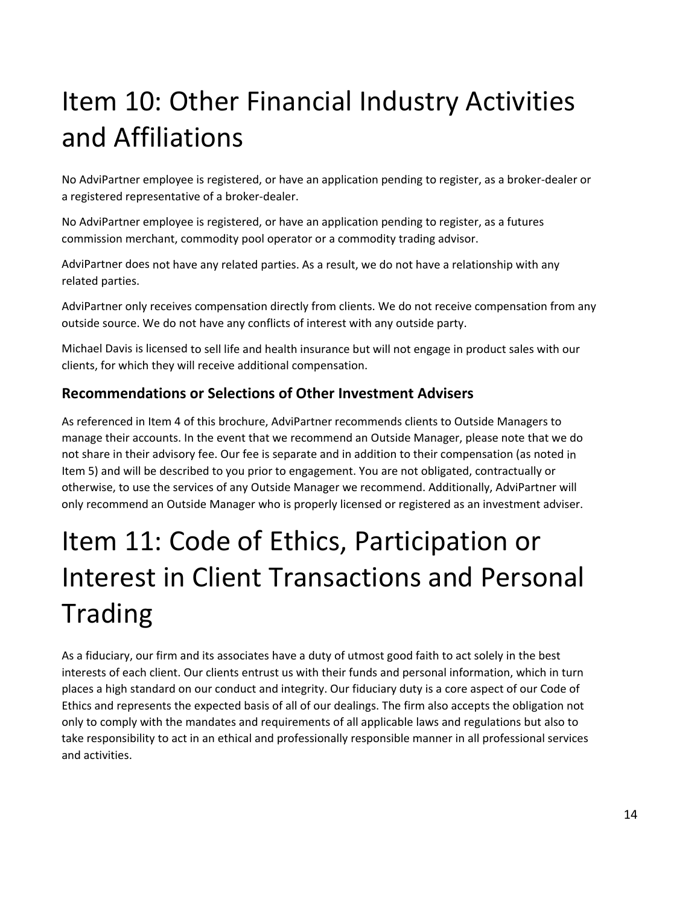# Item 10: Other Financial Industry Activities and Affiliations

No AdviPartner employee is registered, or have an application pending to register, as a broker‐dealer or a registered representative of a broker‐dealer.

No AdviPartner employee is registered, or have an application pending to register, as a futures commission merchant, commodity pool operator or a commodity trading advisor.

AdviPartner does not have any related parties. As a result, we do not have a relationship with any related parties.

AdviPartner only receives compensation directly from clients. We do not receive compensation from any outside source. We do not have any conflicts of interest with any outside party.

Michael Davis is licensed to sell life and health insurance but will not engage in product sales with our clients, for which they will receive additional compensation.

#### **Recommendations or Selections of Other Investment Advisers**

As referenced in Item 4 of this brochure, AdviPartner recommends clients to Outside Managers to manage their accounts. In the event that we recommend an Outside Manager, please note that we do not share in their advisory fee. Our fee is separate and in addition to their compensation (as noted in Item 5) and will be described to you prior to engagement. You are not obligated, contractually or otherwise, to use the services of any Outside Manager we recommend. Additionally, AdviPartner will only recommend an Outside Manager who is properly licensed or registered as an investment adviser.

# Item 11: Code of Ethics, Participation or Interest in Client Transactions and Personal Trading

As a fiduciary, our firm and its associates have a duty of utmost good faith to act solely in the best interests of each client. Our clients entrust us with their funds and personal information, which in turn places a high standard on our conduct and integrity. Our fiduciary duty is a core aspect of our Code of Ethics and represents the expected basis of all of our dealings. The firm also accepts the obligation not only to comply with the mandates and requirements of all applicable laws and regulations but also to take responsibility to act in an ethical and professionally responsible manner in all professional services and activities.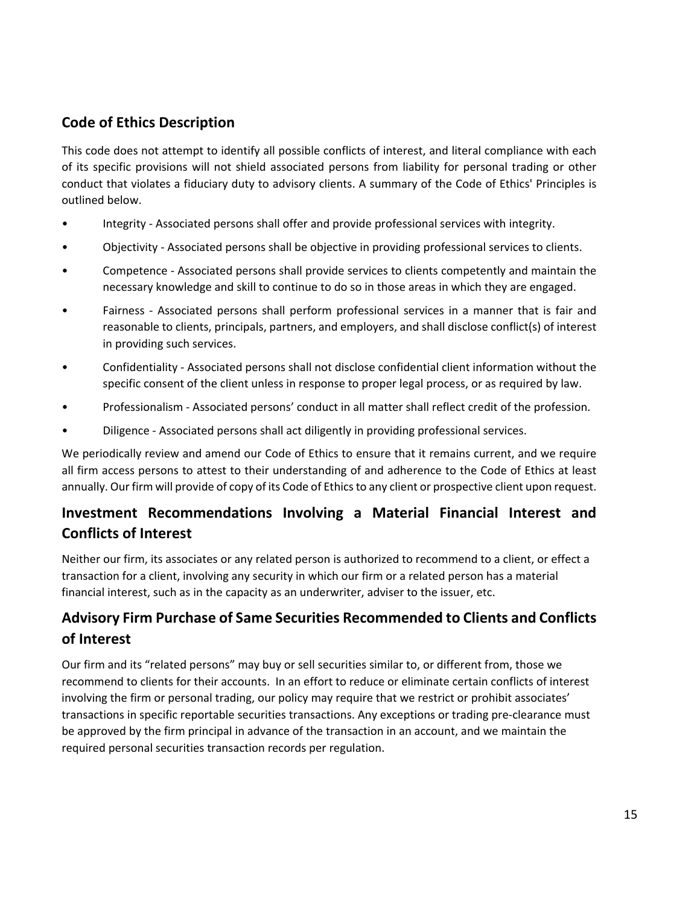#### **Code of Ethics Description**

This code does not attempt to identify all possible conflicts of interest, and literal compliance with each of its specific provisions will not shield associated persons from liability for personal trading or other conduct that violates a fiduciary duty to advisory clients. A summary of the Code of Ethics' Principles is outlined below.

- Integrity ‐ Associated persons shall offer and provide professional services with integrity.
- Objectivity ‐ Associated persons shall be objective in providing professional services to clients.
- Competence ‐ Associated persons shall provide services to clients competently and maintain the necessary knowledge and skill to continue to do so in those areas in which they are engaged.
- Fairness Associated persons shall perform professional services in a manner that is fair and reasonable to clients, principals, partners, and employers, and shall disclose conflict(s) of interest in providing such services.
- Confidentiality Associated persons shall not disclose confidential client information without the specific consent of the client unless in response to proper legal process, or as required by law.
- Professionalism ‐ Associated persons' conduct in all matter shall reflect credit of the profession.
- Diligence ‐ Associated persons shall act diligently in providing professional services.

We periodically review and amend our Code of Ethics to ensure that it remains current, and we require all firm access persons to attest to their understanding of and adherence to the Code of Ethics at least annually. Our firm will provide of copy of its Code of Ethics to any client or prospective client upon request.

### **Investment Recommendations Involving a Material Financial Interest and Conflicts of Interest**

Neither our firm, its associates or any related person is authorized to recommend to a client, or effect a transaction for a client, involving any security in which our firm or a related person has a material financial interest, such as in the capacity as an underwriter, adviser to the issuer, etc.

### **Advisory Firm Purchase of Same Securities Recommended to Clients and Conflicts of Interest**

Our firm and its "related persons" may buy or sell securities similar to, or different from, those we recommend to clients for their accounts. In an effort to reduce or eliminate certain conflicts of interest involving the firm or personal trading, our policy may require that we restrict or prohibit associates' transactions in specific reportable securities transactions. Any exceptions or trading pre‐clearance must be approved by the firm principal in advance of the transaction in an account, and we maintain the required personal securities transaction records per regulation.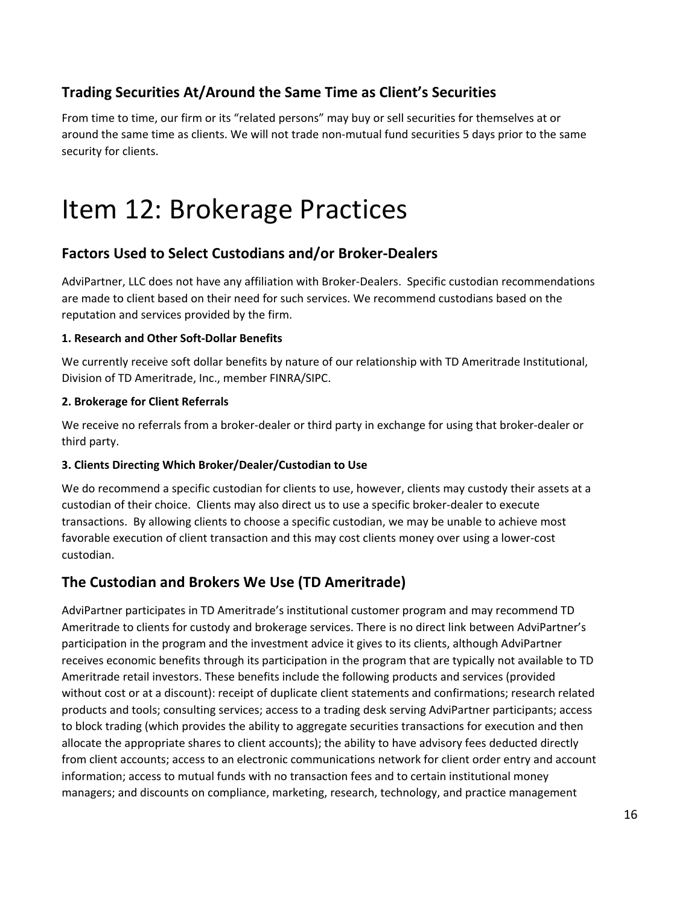#### **Trading Securities At/Around the Same Time as Client's Securities**

From time to time, our firm or its "related persons" may buy or sell securities for themselves at or around the same time as clients. We will not trade non‐mutual fund securities 5 days prior to the same security for clients.

### Item 12: Brokerage Practices

#### **Factors Used to Select Custodians and/or Broker‐Dealers**

AdviPartner, LLC does not have any affiliation with Broker‐Dealers. Specific custodian recommendations are made to client based on their need for such services. We recommend custodians based on the reputation and services provided by the firm.

#### **1. Research and Other Soft‐Dollar Benefits**

We currently receive soft dollar benefits by nature of our relationship with TD Ameritrade Institutional, Division of TD Ameritrade, Inc., member FINRA/SIPC.

#### **2. Brokerage for Client Referrals**

We receive no referrals from a broker‐dealer or third party in exchange for using that broker‐dealer or third party.

#### **3. Clients Directing Which Broker/Dealer/Custodian to Use**

We do recommend a specific custodian for clients to use, however, clients may custody their assets at a custodian of their choice. Clients may also direct us to use a specific broker‐dealer to execute transactions. By allowing clients to choose a specific custodian, we may be unable to achieve most favorable execution of client transaction and this may cost clients money over using a lower-cost custodian.

#### **The Custodian and Brokers We Use (TD Ameritrade)**

AdviPartner participates in TD Ameritrade's institutional customer program and may recommend TD Ameritrade to clients for custody and brokerage services. There is no direct link between AdviPartner's participation in the program and the investment advice it gives to its clients, although AdviPartner receives economic benefits through its participation in the program that are typically not available to TD Ameritrade retail investors. These benefits include the following products and services (provided without cost or at a discount): receipt of duplicate client statements and confirmations; research related products and tools; consulting services; access to a trading desk serving AdviPartner participants; access to block trading (which provides the ability to aggregate securities transactions for execution and then allocate the appropriate shares to client accounts); the ability to have advisory fees deducted directly from client accounts; access to an electronic communications network for client order entry and account information; access to mutual funds with no transaction fees and to certain institutional money managers; and discounts on compliance, marketing, research, technology, and practice management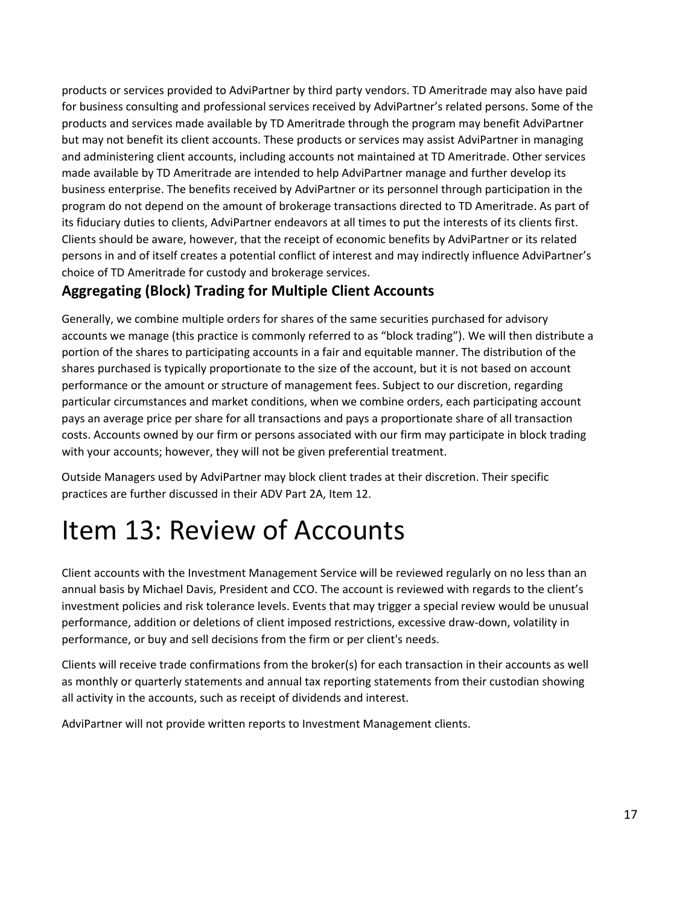products or services provided to AdviPartner by third party vendors. TD Ameritrade may also have paid for business consulting and professional services received by AdviPartner's related persons. Some of the products and services made available by TD Ameritrade through the program may benefit AdviPartner but may not benefit its client accounts. These products or services may assist AdviPartner in managing and administering client accounts, including accounts not maintained at TD Ameritrade. Other services made available by TD Ameritrade are intended to help AdviPartner manage and further develop its business enterprise. The benefits received by AdviPartner or its personnel through participation in the program do not depend on the amount of brokerage transactions directed to TD Ameritrade. As part of its fiduciary duties to clients, AdviPartner endeavors at all times to put the interests of its clients first. Clients should be aware, however, that the receipt of economic benefits by AdviPartner or its related persons in and of itself creates a potential conflict of interest and may indirectly influence AdviPartner's choice of TD Ameritrade for custody and brokerage services.

#### **Aggregating (Block) Trading for Multiple Client Accounts**

Generally, we combine multiple orders for shares of the same securities purchased for advisory accounts we manage (this practice is commonly referred to as "block trading"). We will then distribute a portion of the shares to participating accounts in a fair and equitable manner. The distribution of the shares purchased is typically proportionate to the size of the account, but it is not based on account performance or the amount or structure of management fees. Subject to our discretion, regarding particular circumstances and market conditions, when we combine orders, each participating account pays an average price per share for all transactions and pays a proportionate share of all transaction costs. Accounts owned by our firm or persons associated with our firm may participate in block trading with your accounts; however, they will not be given preferential treatment.

Outside Managers used by AdviPartner may block client trades at their discretion. Their specific practices are further discussed in their ADV Part 2A, Item 12.

## Item 13: Review of Accounts

Client accounts with the Investment Management Service will be reviewed regularly on no less than an annual basis by Michael Davis, President and CCO. The account is reviewed with regards to the client's investment policies and risk tolerance levels. Events that may trigger a special review would be unusual performance, addition or deletions of client imposed restrictions, excessive draw‐down, volatility in performance, or buy and sell decisions from the firm or per client's needs.

Clients will receive trade confirmations from the broker(s) for each transaction in their accounts as well as monthly or quarterly statements and annual tax reporting statements from their custodian showing all activity in the accounts, such as receipt of dividends and interest.

AdviPartner will not provide written reports to Investment Management clients.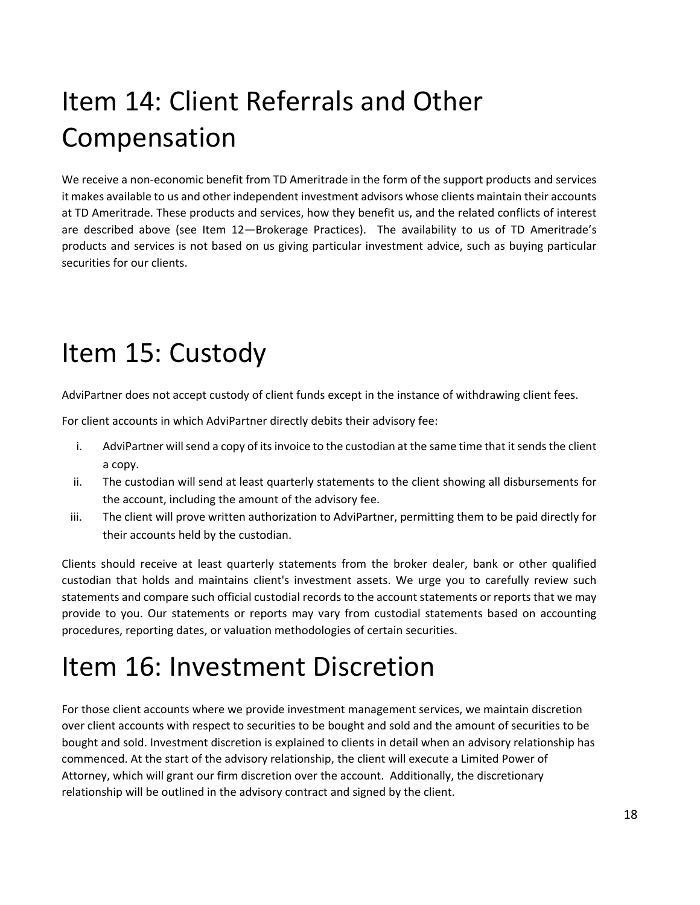# Item 14: Client Referrals and Other Compensation

We receive a non-economic benefit from TD Ameritrade in the form of the support products and services it makes available to us and other independent investment advisors whose clients maintain their accounts at TD Ameritrade. These products and services, how they benefit us, and the related conflicts of interest are described above (see Item 12-Brokerage Practices). The availability to us of TD Ameritrade's products and services is not based on us giving particular investment advice, such as buying particular securities for our clients.

### Item 15: Custody

AdviPartner does not accept custody of client funds except in the instance of withdrawing client fees.

For client accounts in which AdviPartner directly debits their advisory fee:

- i. AdviPartner will send a copy of its invoice to the custodian at the same time that it sends the client a copy.
- ii. The custodian will send at least quarterly statements to the client showing all disbursements for the account, including the amount of the advisory fee.
- iii. The client will prove written authorization to AdviPartner, permitting them to be paid directly for their accounts held by the custodian.

Clients should receive at least quarterly statements from the broker dealer, bank or other qualified custodian that holds and maintains client's investment assets. We urge you to carefully review such statements and compare such official custodial records to the account statements or reports that we may provide to you. Our statements or reports may vary from custodial statements based on accounting procedures, reporting dates, or valuation methodologies of certain securities.

## Item 16: Investment Discretion

For those client accounts where we provide investment management services, we maintain discretion over client accounts with respect to securities to be bought and sold and the amount of securities to be bought and sold. Investment discretion is explained to clients in detail when an advisory relationship has commenced. At the start of the advisory relationship, the client will execute a Limited Power of Attorney, which will grant our firm discretion over the account. Additionally, the discretionary relationship will be outlined in the advisory contract and signed by the client.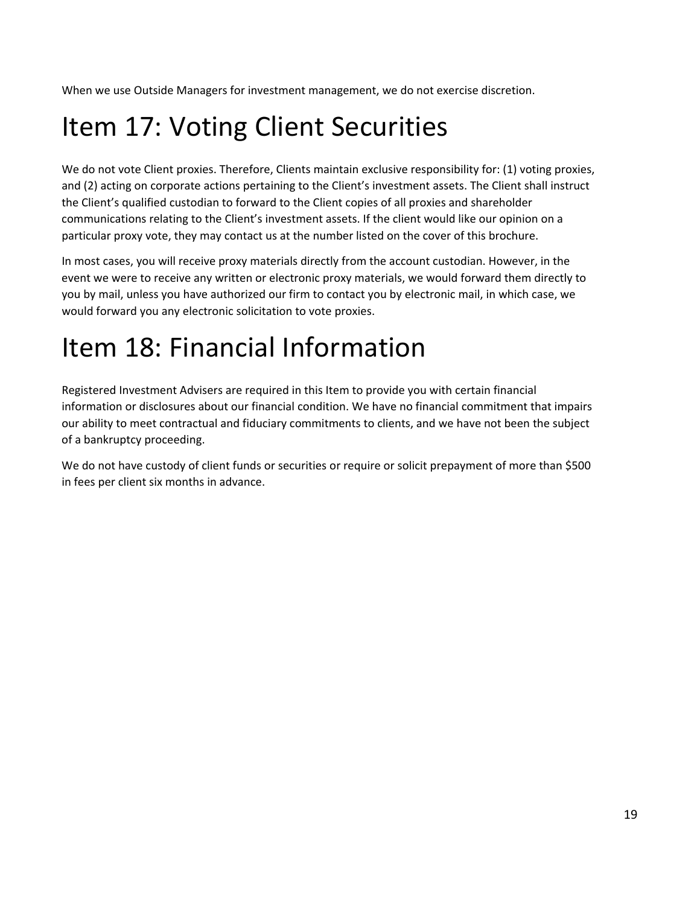When we use Outside Managers for investment management, we do not exercise discretion.

# Item 17: Voting Client Securities

We do not vote Client proxies. Therefore, Clients maintain exclusive responsibility for: (1) voting proxies, and (2) acting on corporate actions pertaining to the Client's investment assets. The Client shall instruct the Client's qualified custodian to forward to the Client copies of all proxies and shareholder communications relating to the Client's investment assets. If the client would like our opinion on a particular proxy vote, they may contact us at the number listed on the cover of this brochure.

In most cases, you will receive proxy materials directly from the account custodian. However, in the event we were to receive any written or electronic proxy materials, we would forward them directly to you by mail, unless you have authorized our firm to contact you by electronic mail, in which case, we would forward you any electronic solicitation to vote proxies.

## Item 18: Financial Information

Registered Investment Advisers are required in this Item to provide you with certain financial information or disclosures about our financial condition. We have no financial commitment that impairs our ability to meet contractual and fiduciary commitments to clients, and we have not been the subject of a bankruptcy proceeding.

We do not have custody of client funds or securities or require or solicit prepayment of more than \$500 in fees per client six months in advance.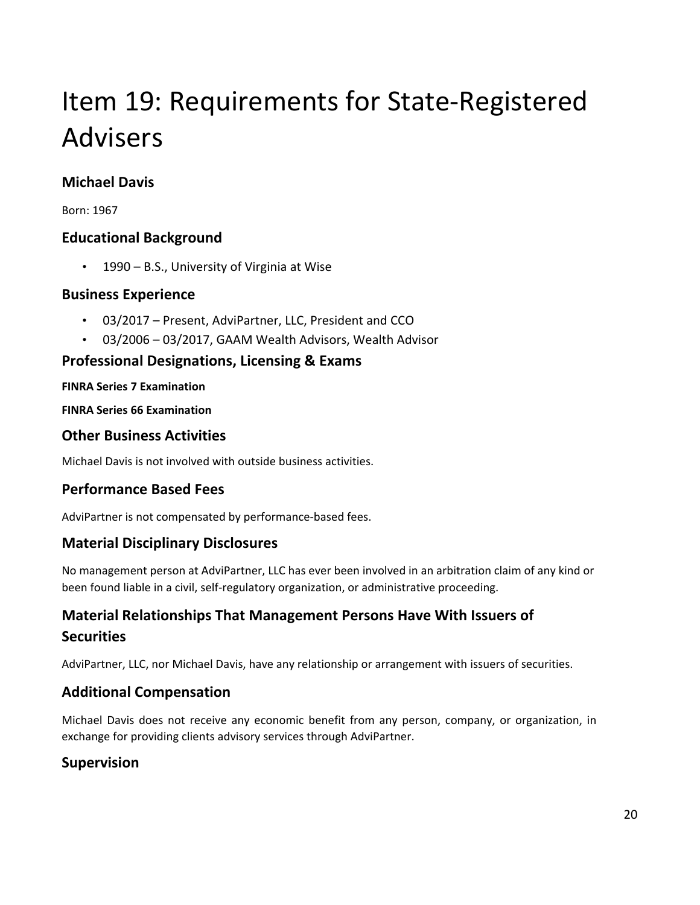# Item 19: Requirements for State‐Registered Advisers

### **Michael Davis**

Born: 1967

#### **Educational Background**

• 1990 – B.S., University of Virginia at Wise

#### **Business Experience**

- 03/2017 Present, AdviPartner, LLC, President and CCO
- 03/2006 03/2017, GAAM Wealth Advisors, Wealth Advisor

#### **Professional Designations, Licensing & Exams**

#### **FINRA Series 7 Examination**

**FINRA Series 66 Examination**

#### **Other Business Activities**

Michael Davis is not involved with outside business activities.

#### **Performance Based Fees**

AdviPartner is not compensated by performance‐based fees.

#### **Material Disciplinary Disclosures**

No management person at AdviPartner, LLC has ever been involved in an arbitration claim of any kind or been found liable in a civil, self‐regulatory organization, or administrative proceeding.

### **Material Relationships That Management Persons Have With Issuers of Securities**

AdviPartner, LLC, nor Michael Davis, have any relationship or arrangement with issuers of securities.

#### **Additional Compensation**

Michael Davis does not receive any economic benefit from any person, company, or organization, in exchange for providing clients advisory services through AdviPartner.

#### **Supervision**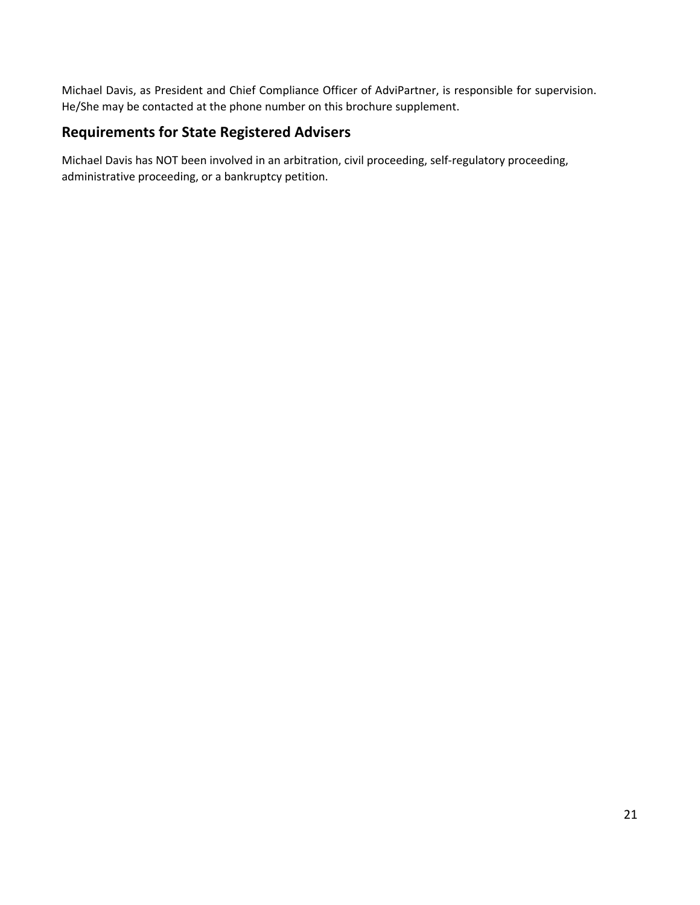Michael Davis, as President and Chief Compliance Officer of AdviPartner, is responsible for supervision. He/She may be contacted at the phone number on this brochure supplement.

#### **Requirements for State Registered Advisers**

Michael Davis has NOT been involved in an arbitration, civil proceeding, self‐regulatory proceeding, administrative proceeding, or a bankruptcy petition.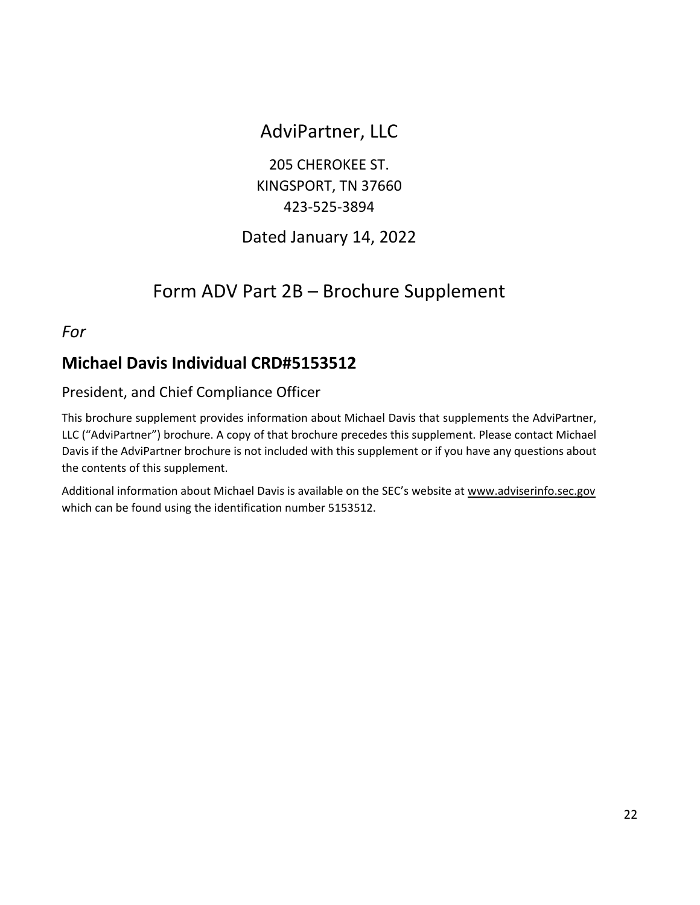### AdviPartner, LLC

205 CHEROKEE ST. KINGSPORT, TN 37660 423‐525‐3894

### Dated January 14, 2022

### Form ADV Part 2B – Brochure Supplement

*For*

### **Michael Davis Individual CRD#5153512**

#### President, and Chief Compliance Officer

This brochure supplement provides information about Michael Davis that supplements the AdviPartner, LLC ("AdviPartner") brochure. A copy of that brochure precedes this supplement. Please contact Michael Davis if the AdviPartner brochure is not included with this supplement or if you have any questions about the contents of this supplement.

Additional information about Michael Davis is available on the SEC's website at www.adviserinfo.sec.gov which can be found using the identification number 5153512.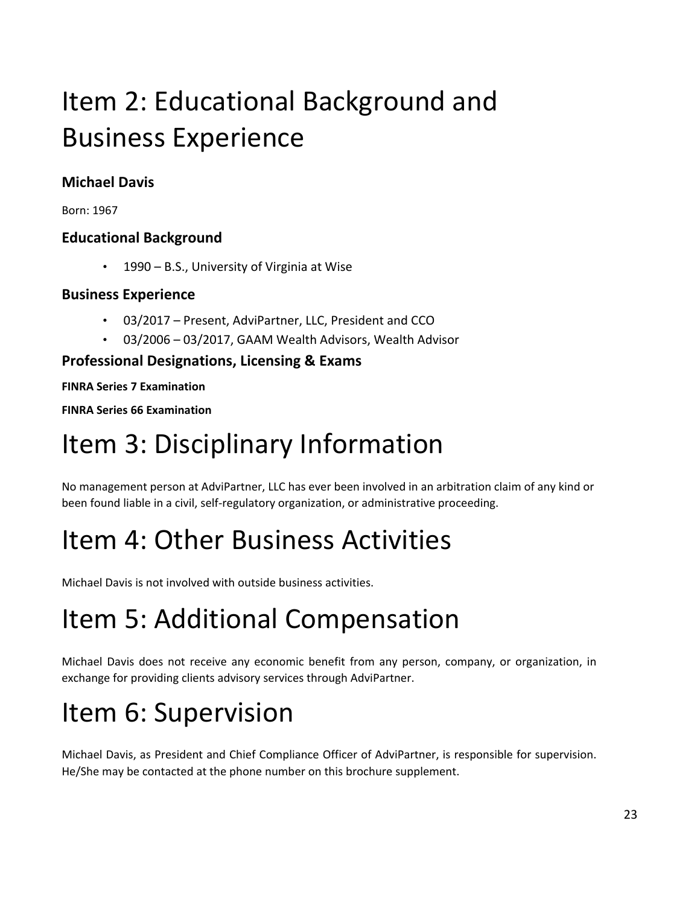# Item 2: Educational Background and Business Experience

### **Michael Davis**

Born: 1967

#### **Educational Background**

• 1990 – B.S., University of Virginia at Wise

#### **Business Experience**

- 03/2017 Present, AdviPartner, LLC, President and CCO
- 03/2006 03/2017, GAAM Wealth Advisors, Wealth Advisor

### **Professional Designations, Licensing & Exams**

#### **FINRA Series 7 Examination**

**FINRA Series 66 Examination**

## Item 3: Disciplinary Information

No management person at AdviPartner, LLC has ever been involved in an arbitration claim of any kind or been found liable in a civil, self‐regulatory organization, or administrative proceeding.

## Item 4: Other Business Activities

Michael Davis is not involved with outside business activities.

# Item 5: Additional Compensation

Michael Davis does not receive any economic benefit from any person, company, or organization, in exchange for providing clients advisory services through AdviPartner.

# Item 6: Supervision

Michael Davis, as President and Chief Compliance Officer of AdviPartner, is responsible for supervision. He/She may be contacted at the phone number on this brochure supplement.